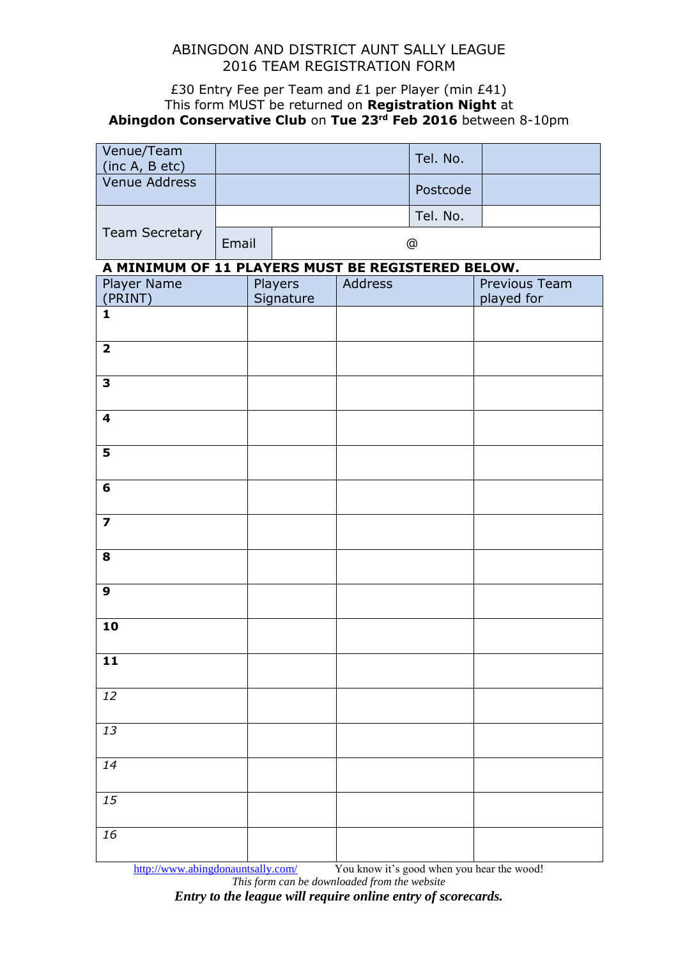## ABINGDON AND DISTRICT AUNT SALLY LEAGUE 2016 TEAM REGISTRATION FORM

## £30 Entry Fee per Team and £1 per Player (min £41) This form MUST be returned on **Registration Night** at **Abingdon Conservative Club** on **Tue 23rd Feb 2016** between 8-10pm

| Venue/Team<br>(inc A, B etc)                      |       |  |                      |               | Tel. No. |                                    |  |  |  |  |
|---------------------------------------------------|-------|--|----------------------|---------------|----------|------------------------------------|--|--|--|--|
| Venue Address                                     |       |  |                      |               | Postcode |                                    |  |  |  |  |
|                                                   |       |  |                      |               | Tel. No. |                                    |  |  |  |  |
| <b>Team Secretary</b>                             | Email |  |                      | $^\copyright$ |          |                                    |  |  |  |  |
| A MINIMUM OF 11 PLAYERS MUST BE REGISTERED BELOW. |       |  |                      |               |          |                                    |  |  |  |  |
| Player Name<br>(PRINT)                            |       |  | Players<br>Signature | Address       |          | <b>Previous Team</b><br>played for |  |  |  |  |
| $\mathbf{1}$                                      |       |  |                      |               |          |                                    |  |  |  |  |
| $\overline{\mathbf{2}}$                           |       |  |                      |               |          |                                    |  |  |  |  |
| 3                                                 |       |  |                      |               |          |                                    |  |  |  |  |
| 4                                                 |       |  |                      |               |          |                                    |  |  |  |  |
| 5                                                 |       |  |                      |               |          |                                    |  |  |  |  |
| 6                                                 |       |  |                      |               |          |                                    |  |  |  |  |
| $\overline{\mathbf{z}}$                           |       |  |                      |               |          |                                    |  |  |  |  |
| 8                                                 |       |  |                      |               |          |                                    |  |  |  |  |
| $\mathbf{9}$                                      |       |  |                      |               |          |                                    |  |  |  |  |
| 10                                                |       |  |                      |               |          |                                    |  |  |  |  |
| $\mathbf{11}$                                     |       |  |                      |               |          |                                    |  |  |  |  |
| 12                                                |       |  |                      |               |          |                                    |  |  |  |  |
| 13                                                |       |  |                      |               |          |                                    |  |  |  |  |
| $\overline{14}$                                   |       |  |                      |               |          |                                    |  |  |  |  |
| 15                                                |       |  |                      |               |          |                                    |  |  |  |  |
| 16                                                |       |  |                      |               |          |                                    |  |  |  |  |

<http://www.abingdonauntsally.com/>You know it's good when you hear the wood! *This form can be downloaded from the website*

*Entry to the league will require online entry of scorecards.*